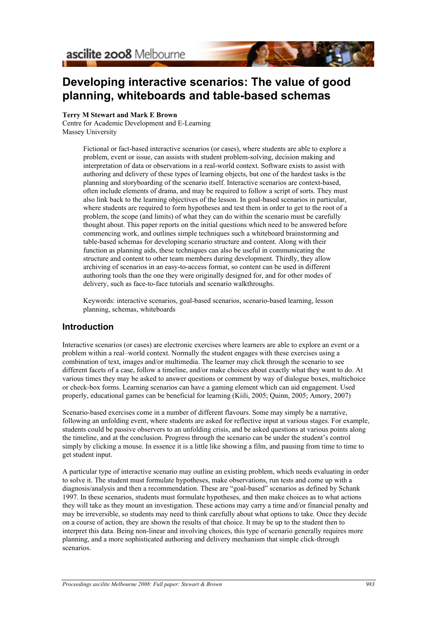# **Developing interactive scenarios: The value of good planning, whiteboards and table-based schemas**

**Terry M Stewart and Mark E Brown**

Centre for Academic Development and E-Learning Massey University

> Fictional or fact-based interactive scenarios (or cases), where students are able to explore a problem, event or issue, can assists with student problem-solving, decision making and interpretation of data or observations in a real-world context. Software exists to assist with authoring and delivery of these types of learning objects, but one of the hardest tasks is the planning and storyboarding of the scenario itself. Interactive scenarios are context-based, often include elements of drama, and may be required to follow a script of sorts. They must also link back to the learning objectives of the lesson. In goal-based scenarios in particular, where students are required to form hypotheses and test them in order to get to the root of a problem, the scope (and limits) of what they can do within the scenario must be carefully thought about. This paper reports on the initial questions which need to be answered before commencing work, and outlines simple techniques such a whiteboard brainstorming and table-based schemas for developing scenario structure and content. Along with their function as planning aids, these techniques can also be useful in communicating the structure and content to other team members during development. Thirdly, they allow archiving of scenarios in an easy-to-access format, so content can be used in different authoring tools than the one they were originally designed for, and for other modes of delivery, such as face-to-face tutorials and scenario walkthroughs.

Keywords: interactive scenarios, goal-based scenarios, scenario-based learning, lesson planning, schemas, whiteboards

# **Introduction**

Interactive scenarios (or cases) are electronic exercises where learners are able to explore an event or a problem within a real–world context. Normally the student engages with these exercises using a combination of text, images and/or multimedia. The learner may click through the scenario to see different facets of a case, follow a timeline, and/or make choices about exactly what they want to do. At various times they may be asked to answer questions or comment by way of dialogue boxes, multichoice or check-box forms. Learning scenarios can have a gaming element which can aid engagement. Used properly, educational games can be beneficial for learning (Kiili, 2005; Quinn, 2005; Amory, 2007)

Scenario-based exercises come in a number of different flavours. Some may simply be a narrative, following an unfolding event, where students are asked for reflective input at various stages. For example, students could be passive observers to an unfolding crisis, and be asked questions at various points along the timeline, and at the conclusion. Progress through the scenario can be under the student's control simply by clicking a mouse. In essence it is a little like showing a film, and pausing from time to time to get student input.

A particular type of interactive scenario may outline an existing problem, which needs evaluating in order to solve it. The student must formulate hypotheses, make observations, run tests and come up with a diagnosis/analysis and then a recommendation. These are "goal-based" scenarios as defined by Schank 1997. In these scenarios, students must formulate hypotheses, and then make choices as to what actions they will take as they mount an investigation. These actions may carry a time and/or financial penalty and may be irreversible, so students may need to think carefully about what options to take. Once they decide on a course of action, they are shown the results of that choice. It may be up to the student then to interpret this data. Being non-linear and involving choices, this type of scenario generally requires more planning, and a more sophisticated authoring and delivery mechanism that simple click-through scenarios.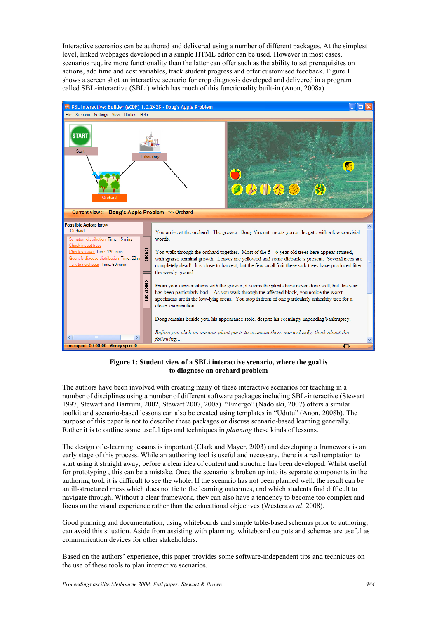Interactive scenarios can be authored and delivered using a number of different packages. At the simplest level, linked webpages developed in a simple HTML editor can be used. However in most cases, scenarios require more functionality than the latter can offer such as the ability to set prerequisites on actions, add time and cost variables, track student progress and offer customised feedback. Figure 1 shows a screen shot an interactive scenario for crop diagnosis developed and delivered in a program called SBL-interactive (SBLi) which has much of this functionality built-in (Anon, 2008a).



### **Figure 1: Student view of a SBLi interactive scenario, where the goal is to diagnose an orchard problem**

The authors have been involved with creating many of these interactive scenarios for teaching in a number of disciplines using a number of different software packages including SBL-interactive (Stewart 1997, Stewart and Bartrum, 2002, Stewart 2007, 2008). "Emergo" (Nadolski, 2007) offers a similar toolkit and scenario-based lessons can also be created using templates in "Udutu" (Anon, 2008b). The purpose of this paper is not to describe these packages or discuss scenario-based learning generally. Rather it is to outline some useful tips and techniques in *planning* these kinds of lessons.

The design of e-learning lessons is important (Clark and Mayer, 2003) and developing a framework is an early stage of this process. While an authoring tool is useful and necessary, there is a real temptation to start using it straight away, before a clear idea of content and structure has been developed. Whilst useful for prototyping , this can be a mistake. Once the scenario is broken up into its separate components in the authoring tool, it is difficult to see the whole. If the scenario has not been planned well, the result can be an ill-structured mess which does not tie to the learning outcomes, and which students find difficult to navigate through. Without a clear framework, they can also have a tendency to become too complex and focus on the visual experience rather than the educational objectives (Westera *et al*, 2008).

Good planning and documentation, using whiteboards and simple table-based schemas prior to authoring, can avoid this situation. Aside from assisting with planning, whiteboard outputs and schemas are useful as communication devices for other stakeholders.

Based on the authors' experience, this paper provides some software-independent tips and techniques on the use of these tools to plan interactive scenarios.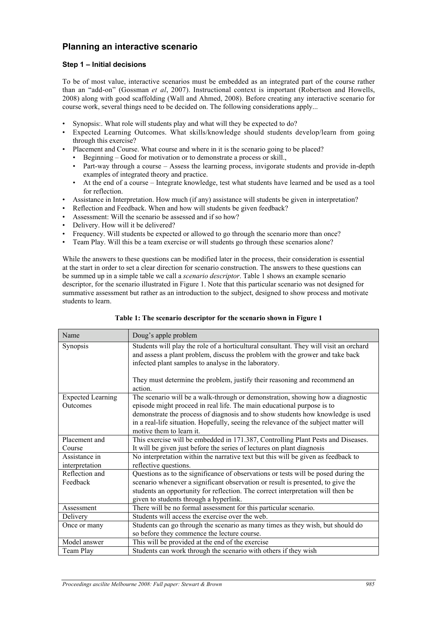# **Planning an interactive scenario**

### **Step 1 – Initial decisions**

To be of most value, interactive scenarios must be embedded as an integrated part of the course rather than an "add-on" (Gossman *et al*, 2007). Instructional context is important (Robertson and Howells, 2008) along with good scaffolding (Wall and Ahmed, 2008). Before creating any interactive scenario for course work, several things need to be decided on. The following considerations apply...

- Synopsis:. What role will students play and what will they be expected to do?
- Expected Learning Outcomes. What skills/knowledge should students develop/learn from going through this exercise?
- Placement and Course. What course and where in it is the scenario going to be placed?
	- Beginning Good for motivation or to demonstrate a process or skill.,
	- Part-way through a course Assess the learning process, invigorate students and provide in-depth examples of integrated theory and practice.
	- At the end of a course Integrate knowledge, test what students have learned and be used as a tool for reflection.
- Assistance in Interpretation. How much (if any) assistance will students be given in interpretation?
- Reflection and Feedback. When and how will students be given feedback?
- Assessment: Will the scenario be assessed and if so how?
- Delivery. How will it be delivered?
- Frequency. Will students be expected or allowed to go through the scenario more than once?
- Team Play. Will this be a team exercise or will students go through these scenarios alone?

While the answers to these questions can be modified later in the process, their consideration is essential at the start in order to set a clear direction for scenario construction. The answers to these questions can be summed up in a simple table we call a *scenario descriptor*. Table 1 shows an example scenario descriptor, for the scenario illustrated in Figure 1. Note that this particular scenario was not designed for summative assessment but rather as an introduction to the subject, designed to show process and motivate students to learn.

| Name                                 | Doug's apple problem                                                                                                                                                                                                                                                                                                                                            |
|--------------------------------------|-----------------------------------------------------------------------------------------------------------------------------------------------------------------------------------------------------------------------------------------------------------------------------------------------------------------------------------------------------------------|
| <b>Synopsis</b>                      | Students will play the role of a horticultural consultant. They will visit an orchard<br>and assess a plant problem, discuss the problem with the grower and take back<br>infected plant samples to analyse in the laboratory.<br>They must determine the problem, justify their reasoning and recommend an                                                     |
|                                      | action.                                                                                                                                                                                                                                                                                                                                                         |
| <b>Expected Learning</b><br>Outcomes | The scenario will be a walk-through or demonstration, showing how a diagnostic<br>episode might proceed in real life. The main educational purpose is to<br>demonstrate the process of diagnosis and to show students how knowledge is used<br>in a real-life situation. Hopefully, seeing the relevance of the subject matter will<br>motive them to learn it. |
| Placement and<br>Course              | This exercise will be embedded in 171.387, Controlling Plant Pests and Diseases.<br>It will be given just before the series of lectures on plant diagnosis                                                                                                                                                                                                      |
| Assistance in<br>interpretation      | No interpretation within the narrative text but this will be given as feedback to<br>reflective questions.                                                                                                                                                                                                                                                      |
| Reflection and<br>Feedback           | Questions as to the significance of observations or tests will be posed during the<br>scenario whenever a significant observation or result is presented, to give the<br>students an opportunity for reflection. The correct interpretation will then be<br>given to students through a hyperlink.                                                              |
| Assessment                           | There will be no formal assessment for this particular scenario.                                                                                                                                                                                                                                                                                                |
| Delivery                             | Students will access the exercise over the web.                                                                                                                                                                                                                                                                                                                 |
| Once or many                         | Students can go through the scenario as many times as they wish, but should do<br>so before they commence the lecture course.                                                                                                                                                                                                                                   |
| Model answer                         | This will be provided at the end of the exercise                                                                                                                                                                                                                                                                                                                |
| Team Play                            | Students can work through the scenario with others if they wish                                                                                                                                                                                                                                                                                                 |

**Table 1: The scenario descriptor for the scenario shown in Figure 1**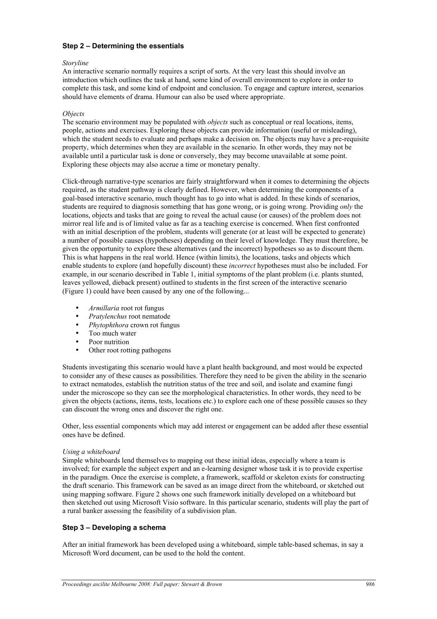## **Step 2 – Determining the essentials**

#### *Storyline*

An interactive scenario normally requires a script of sorts. At the very least this should involve an introduction which outlines the task at hand, some kind of overall environment to explore in order to complete this task, and some kind of endpoint and conclusion. To engage and capture interest, scenarios should have elements of drama. Humour can also be used where appropriate.

#### *Objects*

The scenario environment may be populated with *objects* such as conceptual or real locations, items, people, actions and exercises. Exploring these objects can provide information (useful or misleading), which the student needs to evaluate and perhaps make a decision on. The objects may have a pre-requisite property, which determines when they are available in the scenario. In other words, they may not be available until a particular task is done or conversely, they may become unavailable at some point. Exploring these objects may also accrue a time or monetary penalty.

Click-through narrative-type scenarios are fairly straightforward when it comes to determining the objects required, as the student pathway is clearly defined. However, when determining the components of a goal-based interactive scenario, much thought has to go into what is added. In these kinds of scenarios, students are required to diagnosis something that has gone wrong, or is going wrong. Providing *only* the locations, objects and tasks that are going to reveal the actual cause (or causes) of the problem does not mirror real life and is of limited value as far as a teaching exercise is concerned. When first confronted with an initial description of the problem, students will generate (or at least will be expected to generate) a number of possible causes (hypotheses) depending on their level of knowledge. They must therefore, be given the opportunity to explore these alternatives (and the incorrect) hypotheses so as to discount them. This is what happens in the real world. Hence (within limits), the locations, tasks and objects which enable students to explore (and hopefully discount) these *incorrect* hypotheses must also be included. For example, in our scenario described in Table 1, initial symptoms of the plant problem (i.e. plants stunted, leaves yellowed, dieback present) outlined to students in the first screen of the interactive scenario (Figure 1) could have been caused by any one of the following...

- *Armillaria* root rot fungus
- *Pratylenchus* root nematode<br>• *Phytonhthora* crown rot fun
- *Phytophthora* crown rot fungus
- Too much water<br>• Poor nutrition
- Poor nutrition<br>• Other root rott
- Other root rotting pathogens

Students investigating this scenario would have a plant health background, and most would be expected to consider any of these causes as possibilities. Therefore they need to be given the ability in the scenario to extract nematodes, establish the nutrition status of the tree and soil, and isolate and examine fungi under the microscope so they can see the morphological characteristics. In other words, they need to be given the objects (actions, items, tests, locations etc.) to explore each one of these possible causes so they can discount the wrong ones and discover the right one.

Other, less essential components which may add interest or engagement can be added after these essential ones have be defined.

#### *Using a whiteboard*

Simple whiteboards lend themselves to mapping out these initial ideas, especially where a team is involved; for example the subject expert and an e-learning designer whose task it is to provide expertise in the paradigm. Once the exercise is complete, a framework, scaffold or skeleton exists for constructing the draft scenario. This framework can be saved as an image direct from the whiteboard, or sketched out using mapping software. Figure 2 shows one such framework initially developed on a whiteboard but then sketched out using Microsoft Visio software. In this particular scenario, students will play the part of a rural banker assessing the feasibility of a subdivision plan.

#### **Step 3 – Developing a schema**

After an initial framework has been developed using a whiteboard, simple table-based schemas, in say a Microsoft Word document, can be used to the hold the content.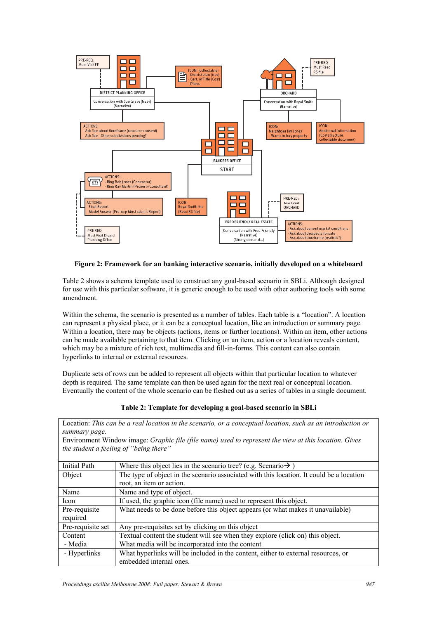

### **Figure 2: Framework for an banking interactive scenario, initially developed on a whiteboard**

Table 2 shows a schema template used to construct any goal-based scenario in SBLi. Although designed for use with this particular software, it is generic enough to be used with other authoring tools with some amendment.

Within the schema, the scenario is presented as a number of tables. Each table is a "location". A location can represent a physical place, or it can be a conceptual location, like an introduction or summary page. Within a location, there may be objects (actions, items or further locations). Within an item, other actions can be made available pertaining to that item. Clicking on an item, action or a location reveals content, which may be a mixture of rich text, multimedia and fill-in-forms. This content can also contain hyperlinks to internal or external resources.

Duplicate sets of rows can be added to represent all objects within that particular location to whatever depth is required. The same template can then be used again for the next real or conceptual location. Eventually the content of the whole scenario can be fleshed out as a series of tables in a single document.

| Table 2: Template for developing a goal-based scenario in SBLi |  |  |  |
|----------------------------------------------------------------|--|--|--|
|----------------------------------------------------------------|--|--|--|

Location: *This can be a real location in the scenario, or a conceptual location, such as an introduction or summary page.*

| Environment Window image: Graphic file (file name) used to represent the view at this location. Gives |  |  |
|-------------------------------------------------------------------------------------------------------|--|--|
| the student a feeling of "being there"                                                                |  |  |

| <b>Initial Path</b> | Where this object lies in the scenario tree? (e.g. Scenario $\rightarrow$ )              |
|---------------------|------------------------------------------------------------------------------------------|
| Object              | The type of object in the scenario associated with this location. It could be a location |
|                     | root, an item or action.                                                                 |
| Name                | Name and type of object.                                                                 |
| Icon                | If used, the graphic icon (file name) used to represent this object.                     |
| Pre-requisite       | What needs to be done before this object appears (or what makes it unavailable)          |
| required            |                                                                                          |
| Pre-requisite set   | Any pre-requisites set by clicking on this object                                        |
| Content             | Textual content the student will see when they explore (click on) this object.           |
| - Media             | What media will be incorporated into the content                                         |
| - Hyperlinks        | What hyperlinks will be included in the content, either to external resources, or        |
|                     | embedded internal ones.                                                                  |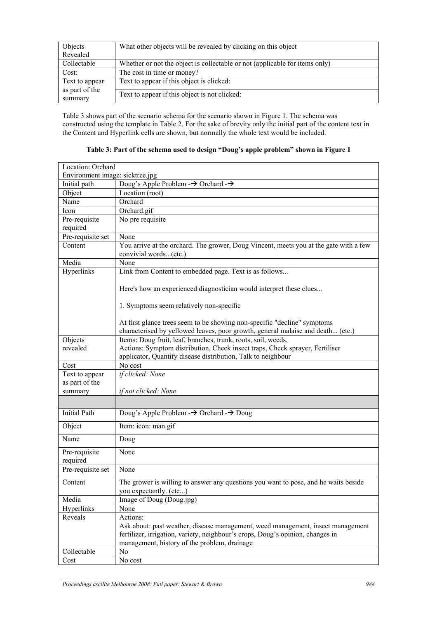| Objects                          | What other objects will be revealed by clicking on this object              |
|----------------------------------|-----------------------------------------------------------------------------|
| Revealed                         |                                                                             |
| Collectable                      | Whether or not the object is collectable or not (applicable for items only) |
| Cost:                            | The cost in time or money?                                                  |
| Text to appear<br>as part of the | Text to appear if this object is clicked:                                   |
| summary                          | Text to appear if this object is not clicked:                               |

Table 3 shows part of the scenario schema for the scenario shown in Figure 1. The schema was constructed using the template in Table 2. For the sake of brevity only the initial part of the content text in the Content and Hyperlink cells are shown, but normally the whole text would be included.

| Location: Orchard               |                                                                                       |  |
|---------------------------------|---------------------------------------------------------------------------------------|--|
| Environment image: sicktree.jpg |                                                                                       |  |
| Initial path                    | Doug's Apple Problem $\rightarrow$ Orchard $\rightarrow$                              |  |
| Object                          | Location (root)                                                                       |  |
| Name                            | Orchard                                                                               |  |
| Icon                            | Orchard.gif                                                                           |  |
| Pre-requisite                   | No pre requisite                                                                      |  |
| required                        |                                                                                       |  |
| Pre-requisite set               | None                                                                                  |  |
| Content                         | You arrive at the orchard. The grower, Doug Vincent, meets you at the gate with a few |  |
|                                 | convivial words(etc.)                                                                 |  |
| Media                           | None                                                                                  |  |
| Hyperlinks                      | Link from Content to embedded page. Text is as follows                                |  |
|                                 |                                                                                       |  |
|                                 | Here's how an experienced diagnostician would interpret these clues                   |  |
|                                 |                                                                                       |  |
|                                 | 1. Symptoms seem relatively non-specific                                              |  |
|                                 | At first glance trees seem to be showing non-specific "decline" symptoms              |  |
|                                 | characterised by yellowed leaves, poor growth, general malaise and death (etc.)       |  |
| Objects                         | Items: Doug fruit, leaf, branches, trunk, roots, soil, weeds,                         |  |
| revealed                        | Actions: Symptom distribution, Check insect traps, Check sprayer, Fertiliser          |  |
|                                 | applicator, Quantify disease distribution, Talk to neighbour                          |  |
| Cost                            | No cost                                                                               |  |
| Text to appear                  | if clicked: None                                                                      |  |
| as part of the                  |                                                                                       |  |
| summary                         | if not clicked: None                                                                  |  |
|                                 |                                                                                       |  |
|                                 |                                                                                       |  |
| <b>Initial Path</b>             | Doug's Apple Problem $\rightarrow$ Orchard $\rightarrow$ Doug                         |  |
| Object                          | Item: icon: man.gif                                                                   |  |
| Name                            | Doug                                                                                  |  |
| Pre-requisite                   | None                                                                                  |  |
| required                        |                                                                                       |  |
| Pre-requisite set               | None                                                                                  |  |
| Content                         | The grower is willing to answer any questions you want to pose, and he waits beside   |  |
|                                 | you expectantly. (etc)                                                                |  |
| Media                           | Image of Doug (Doug.jpg)                                                              |  |
| Hyperlinks                      | None                                                                                  |  |
| Reveals                         | Actions:                                                                              |  |
|                                 | Ask about: past weather, disease management, weed management, insect management       |  |
|                                 | fertilizer, irrigation, variety, neighbour's crops, Doug's opinion, changes in        |  |
|                                 | management, history of the problem, drainage                                          |  |
| Collectable                     | No                                                                                    |  |
| Cost                            | No cost                                                                               |  |

**Table 3: Part of the schema used to design "Doug's apple problem" shown in Figure 1**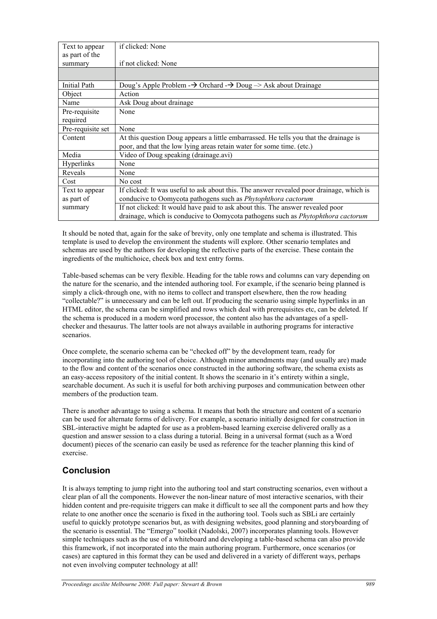| Text to appear    | if clicked: None                                                                               |
|-------------------|------------------------------------------------------------------------------------------------|
| as part of the    |                                                                                                |
| summary           | if not clicked: None                                                                           |
|                   |                                                                                                |
| Initial Path      | Doug's Apple Problem $\rightarrow$ Orchard $\rightarrow$ Doug $\rightarrow$ Ask about Drainage |
| Object            | Action                                                                                         |
| Name              | Ask Doug about drainage                                                                        |
| Pre-requisite     | None                                                                                           |
| required          |                                                                                                |
| Pre-requisite set | None                                                                                           |
| Content           | At this question Doug appears a little embarrassed. He tells you that the drainage is          |
|                   | poor, and that the low lying areas retain water for some time. (etc.)                          |
| Media             | Video of Doug speaking (drainage.avi)                                                          |
| Hyperlinks        | None                                                                                           |
| Reveals           | None                                                                                           |
| Cost              | No cost                                                                                        |
| Text to appear    | If clicked: It was useful to ask about this. The answer revealed poor drainage, which is       |
| as part of        | conducive to Oomycota pathogens such as Phytophthora cactorum                                  |
| summary           | If not clicked: It would have paid to ask about this. The answer revealed poor                 |
|                   | drainage, which is conducive to Oomycota pathogens such as <i>Phytophthora cactorum</i>        |
|                   |                                                                                                |

It should be noted that, again for the sake of brevity, only one template and schema is illustrated. This template is used to develop the environment the students will explore. Other scenario templates and schemas are used by the authors for developing the reflective parts of the exercise. These contain the ingredients of the multichoice, check box and text entry forms.

Table-based schemas can be very flexible. Heading for the table rows and columns can vary depending on the nature for the scenario, and the intended authoring tool. For example, if the scenario being planned is simply a click-through one, with no items to collect and transport elsewhere, then the row heading "collectable?" is unnecessary and can be left out. If producing the scenario using simple hyperlinks in an HTML editor, the schema can be simplified and rows which deal with prerequisites etc, can be deleted. If the schema is produced in a modern word processor, the content also has the advantages of a spellchecker and thesaurus. The latter tools are not always available in authoring programs for interactive scenarios.

Once complete, the scenario schema can be "checked off" by the development team, ready for incorporating into the authoring tool of choice. Although minor amendments may (and usually are) made to the flow and content of the scenarios once constructed in the authoring software, the schema exists as an easy-access repository of the initial content. It shows the scenario in it's entirety within a single, searchable document. As such it is useful for both archiving purposes and communication between other members of the production team.

There is another advantage to using a schema. It means that both the structure and content of a scenario can be used for alternate forms of delivery. For example, a scenario initially designed for construction in SBL-interactive might be adapted for use as a problem-based learning exercise delivered orally as a question and answer session to a class during a tutorial. Being in a universal format (such as a Word document) pieces of the scenario can easily be used as reference for the teacher planning this kind of exercise.

# **Conclusion**

It is always tempting to jump right into the authoring tool and start constructing scenarios, even without a clear plan of all the components. However the non-linear nature of most interactive scenarios, with their hidden content and pre-requisite triggers can make it difficult to see all the component parts and how they relate to one another once the scenario is fixed in the authoring tool. Tools such as SBLi are certainly useful to quickly prototype scenarios but, as with designing websites, good planning and storyboarding of the scenario is essential. The "Emergo" toolkit (Nadolski, 2007) incorporates planning tools. However simple techniques such as the use of a whiteboard and developing a table-based schema can also provide this framework, if not incorporated into the main authoring program. Furthermore, once scenarios (or cases) are captured in this format they can be used and delivered in a variety of different ways, perhaps not even involving computer technology at all!